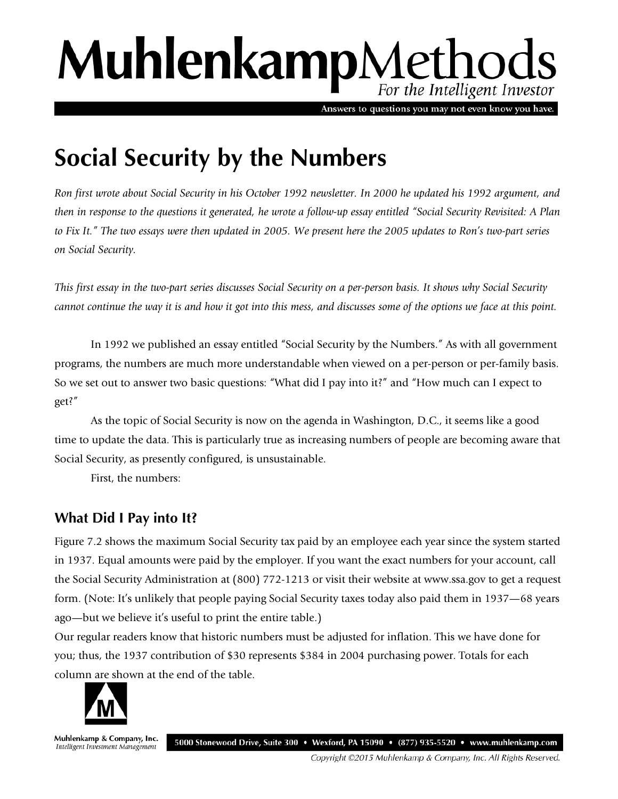# MuhlenkampMethods For the Intelligent Investor

Answers to questions you may not even know you have.

# **Social Security by the Numbers**

*Ron first wrote about Social Security in his October 1992 newsletter. In 2000 he updated his 1992 argument, and then in response to the questions it generated, he wrote a follow-up essay entitled "Social Security Revisited: A Plan to Fix It." The two essays were then updated in 2005. We present here the 2005 updates to Ron's two-part series on Social Security.* 

*This first essay in the two-part series discusses Social Security on a per-person basis. It shows why Social Security cannot continue the way it is and how it got into this mess, and discusses some of the options we face at this point.* 

In 1992 we published an essay entitled "Social Security by the Numbers." As with all government programs, the numbers are much more understandable when viewed on a per-person or per-family basis. So we set out to answer two basic questions: "What did I pay into it?" and "How much can I expect to get?"

As the topic of Social Security is now on the agenda in Washington, D.C., it seems like a good time to update the data. This is particularly true as increasing numbers of people are becoming aware that Social Security, as presently configured, is unsustainable.

First, the numbers:

## **What Did I Pay into It?**

Figure 7.2 shows the maximum Social Security tax paid by an employee each year since the system started in 1937. Equal amounts were paid by the employer. If you want the exact numbers for your account, call the Social Security Administration at (800) 772-1213 or visit their website at www.ssa.gov to get a request form. (Note: It's unlikely that people paying Social Security taxes today also paid them in 1937—68 years ago—but we believe it's useful to print the entire table.)

Our regular readers know that historic numbers must be adjusted for inflation. This we have done for you; thus, the 1937 contribution of \$30 represents \$384 in 2004 purchasing power. Totals for each column are shown at the end of the table.



Muhlenkamp & Company, Inc. 5000 Stonewood Drive, Suite 300 • Wexford, PA 15090 • (877) 935-5520 • www.muhlenkamp.com Intelligent Investment Management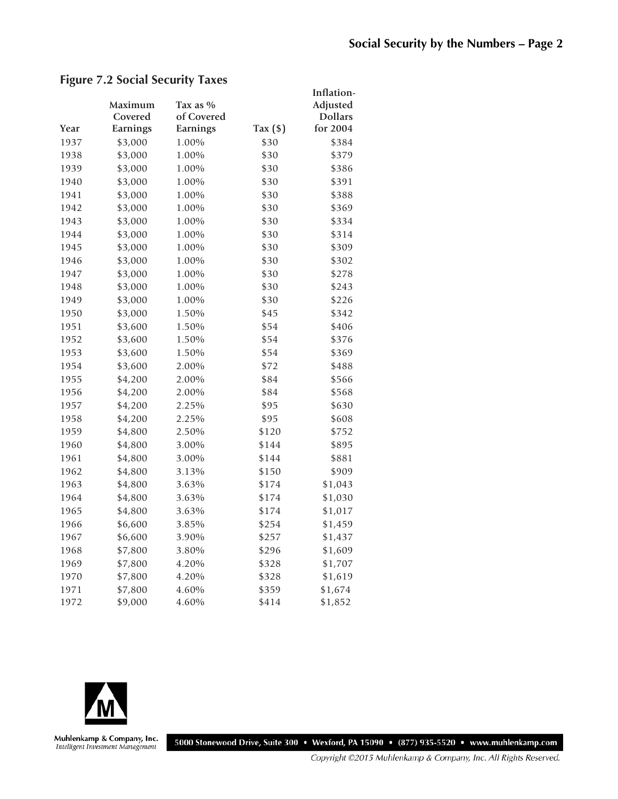### **Figure 7.2 Social Security Taxes**

|      |          |            |                | Inflation-     |
|------|----------|------------|----------------|----------------|
|      | Maximum  | Tax as $%$ |                | Adjusted       |
|      | Covered  | of Covered |                | <b>Dollars</b> |
| Year | Earnings | Earnings   | Tax $($ \$ $)$ | for 2004       |
| 1937 | \$3,000  | 1.00%      | \$30           | \$384          |
| 1938 | \$3,000  | 1.00%      | \$30           | \$379          |
| 1939 | \$3,000  | 1.00%      | \$30           | \$386          |
| 1940 | \$3,000  | 1.00%      | \$30           | \$391          |
| 1941 | \$3,000  | 1.00%      | \$30           | \$388          |
| 1942 | \$3,000  | 1.00%      | \$30           | \$369          |
| 1943 | \$3,000  | 1.00%      | \$30           | \$334          |
| 1944 | \$3,000  | 1.00%      | \$30           | \$314          |
| 1945 | \$3,000  | 1.00%      | \$30           | \$309          |
| 1946 | \$3,000  | 1.00%      | \$30           | \$302          |
| 1947 | \$3,000  | 1.00%      | \$30           | \$278          |
| 1948 | \$3,000  | 1.00%      | \$30           | \$243          |
| 1949 | \$3,000  | 1.00%      | \$30           | \$226          |
| 1950 | \$3,000  | 1.50%      | \$45           | \$342          |
| 1951 | \$3,600  | 1.50%      | \$54           | \$406          |
| 1952 | \$3,600  | 1.50%      | \$54           | \$376          |
| 1953 | \$3,600  | 1.50%      | \$54           | \$369          |
| 1954 | \$3,600  | 2.00%      | \$72           | \$488          |
| 1955 | \$4,200  | 2.00%      | \$84           | \$566          |
| 1956 | \$4,200  | 2.00%      | \$84           | \$568          |
| 1957 | \$4,200  | 2.25%      | \$95           | \$630          |
| 1958 | \$4,200  | 2.25%      | \$95           | \$608          |
| 1959 | \$4,800  | 2.50%      | \$120          | \$752          |
| 1960 | \$4,800  | 3.00%      | \$144          | \$895          |
| 1961 | \$4,800  | 3.00%      | \$144          | \$881          |
| 1962 | \$4,800  | 3.13%      | \$150          | \$909          |
| 1963 | \$4,800  | 3.63%      | \$174          | \$1,043        |
| 1964 | \$4,800  | 3.63%      | \$174          | \$1,030        |
| 1965 | \$4,800  | 3.63%      | \$174          | \$1,017        |
| 1966 | \$6,600  | 3.85%      | \$254          | \$1,459        |
| 1967 | \$6,600  | 3.90%      | \$257          | \$1,437        |
| 1968 | \$7,800  | 3.80%      | \$296          | \$1,609        |
| 1969 | \$7,800  | 4.20%      | \$328          | \$1,707        |
| 1970 | \$7,800  | 4.20%      | \$328          | \$1,619        |
| 1971 | \$7,800  | 4.60%      | \$359          | \$1,674        |
| 1972 | \$9,000  | 4.60%      | \$414          | \$1,852        |



Muhlenkamp & Company, Inc.<br>Intelligent Investment Management

5000 Stonewood Drive, Suite 300 · Wexford, PA 15090 · (877) 935-5520 · www.muhlenkamp.com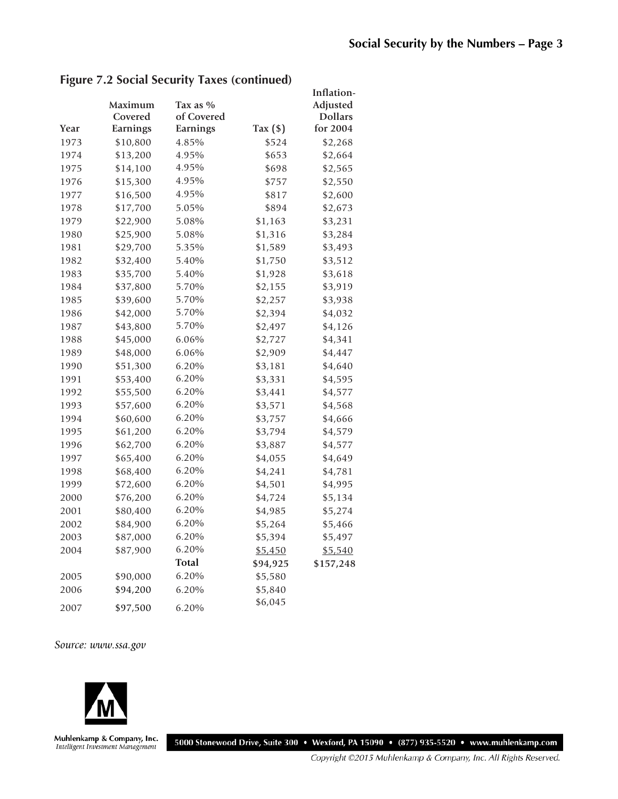|      |          |            |            | Inflation-     |
|------|----------|------------|------------|----------------|
|      | Maximum  | Tax as %   |            | Adjusted       |
|      | Covered  | of Covered |            | <b>Dollars</b> |
| Year | Earnings | Earnings   | Tax $(\$)$ | for 2004       |
| 1973 | \$10,800 | 4.85%      | \$524      | \$2,268        |
| 1974 | \$13,200 | 4.95%      | \$653      | \$2,664        |
| 1975 | \$14,100 | 4.95%      | \$698      | \$2,565        |
| 1976 | \$15,300 | 4.95%      | \$757      | \$2,550        |
| 1977 | \$16,500 | 4.95%      | \$817      | \$2,600        |
| 1978 | \$17,700 | 5.05%      | \$894      | \$2,673        |
| 1979 | \$22,900 | 5.08%      | \$1,163    | \$3,231        |
| 1980 | \$25,900 | 5.08%      | \$1,316    | \$3,284        |
| 1981 | \$29,700 | 5.35%      | \$1,589    | \$3,493        |
| 1982 | \$32,400 | 5.40%      | \$1,750    | \$3,512        |
| 1983 | \$35,700 | 5.40%      | \$1,928    | \$3,618        |
| 1984 | \$37,800 | 5.70%      | \$2,155    | \$3,919        |
| 1985 | \$39,600 | 5.70%      | \$2,257    | \$3,938        |
| 1986 | \$42,000 | 5.70%      | \$2,394    | \$4,032        |
| 1987 | \$43,800 | 5.70%      | \$2,497    | \$4,126        |
| 1988 | \$45,000 | 6.06%      | \$2,727    | \$4,341        |
| 1989 | \$48,000 | 6.06%      | \$2,909    | \$4,447        |
| 1990 | \$51,300 | 6.20%      | \$3,181    | \$4,640        |
| 1991 | \$53,400 | 6.20%      | \$3,331    | \$4,595        |
| 1992 | \$55,500 | 6.20%      | \$3,441    | \$4,577        |
| 1993 | \$57,600 | 6.20%      | \$3,571    | \$4,568        |
| 1994 | \$60,600 | 6.20%      | \$3,757    | \$4,666        |
| 1995 | \$61,200 | 6.20%      | \$3,794    | \$4,579        |
| 1996 | \$62,700 | 6.20%      | \$3,887    | \$4,577        |
| 1997 | \$65,400 | 6.20%      | \$4,055    | \$4,649        |
| 1998 | \$68,400 | 6.20%      | \$4,241    | \$4,781        |
| 1999 | \$72,600 | 6.20%      | \$4,501    | \$4,995        |
| 2000 | \$76,200 | 6.20%      | \$4,724    | \$5,134        |
| 2001 | \$80,400 | 6.20%      | \$4,985    | \$5,274        |
| 2002 | \$84,900 | 6.20%      | \$5,264    | \$5,466        |
| 2003 | \$87,000 | 6.20%      | \$5,394    | \$5,497        |
| 2004 | \$87,900 | 6.20%      | \$5,450    | \$5,540        |
|      |          | Total      | \$94,925   | \$157,248      |
| 2005 | \$90,000 | 6.20%      | \$5,580    |                |
| 2006 | \$94,200 | 6.20%      | \$5,840    |                |
| 2007 | \$97,500 | 6.20%      | \$6,045    |                |

#### **Figure 7.2 Social Security Taxes (continued)**

#### *Source: www.ssa.gov*



Muhlenkamp & Company, Inc.<br>Intelligent Investment Management

5000 Stonewood Drive, Suite 300 · Wexford, PA 15090 · (877) 935-5520 · www.muhlenkamp.com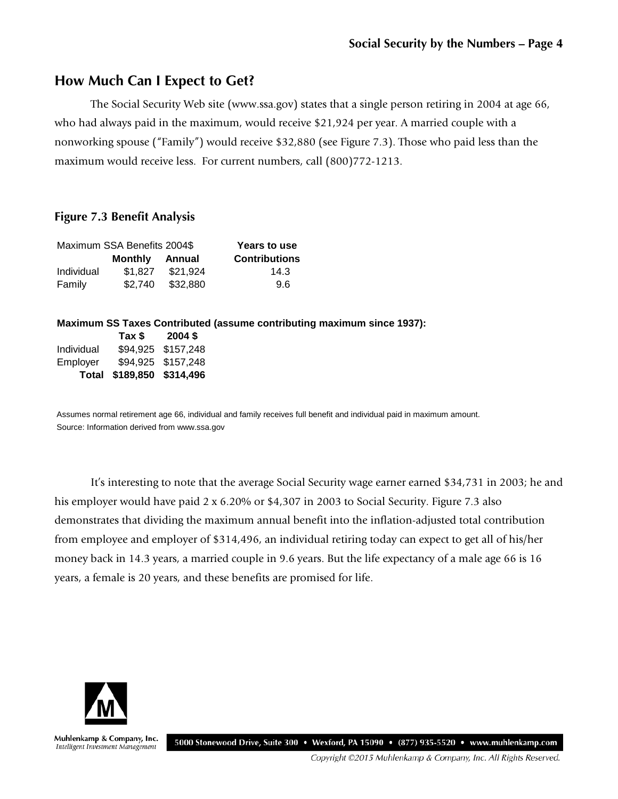### **How Much Can I Expect to Get?**

The Social Security Web site (www.ssa.gov) states that a single person retiring in 2004 at age 66, who had always paid in the maximum, would receive \$21,924 per year. A married couple with a nonworking spouse ("Family") would receive \$32,880 (see Figure 7.3). Those who paid less than the maximum would receive less. For current numbers, call (800)772-1213.

#### **Figure 7.3 Benefit Analysis**

|            | Maximum SSA Benefits 2004\$ | Years to use |                      |
|------------|-----------------------------|--------------|----------------------|
|            | <b>Monthly Annual</b>       |              | <b>Contributions</b> |
| Individual | \$1.827                     | \$21.924     | 14.3                 |
| Family     | \$2.740                     | \$32,880     | 9.6                  |

#### **Maximum SS Taxes Contributed (assume contributing maximum since 1937):**

|            | Tax \$                    | $2004$ \$          |
|------------|---------------------------|--------------------|
| Individual |                           | \$94,925 \$157,248 |
| Employer   |                           | \$94,925 \$157,248 |
|            | Total \$189,850 \$314,496 |                    |

Assumes normal retirement age 66, individual and family receives full benefit and individual paid in maximum amount. Source: Information derived from www.ssa.gov

It's interesting to note that the average Social Security wage earner earned \$34,731 in 2003; he and his employer would have paid 2 x 6.20% or \$4,307 in 2003 to Social Security. Figure 7.3 also demonstrates that dividing the maximum annual benefit into the inflation-adjusted total contribution from employee and employer of \$314,496, an individual retiring today can expect to get all of his/her money back in 14.3 years, a married couple in 9.6 years. But the life expectancy of a male age 66 is 16 years, a female is 20 years, and these benefits are promised for life.



Muhlenkamp & Company, Inc. Intelligent Investment Management

5000 Stonewood Drive, Suite 300 • Wexford, PA 15090 • (877) 935-5520 • www.muhlenkamp.com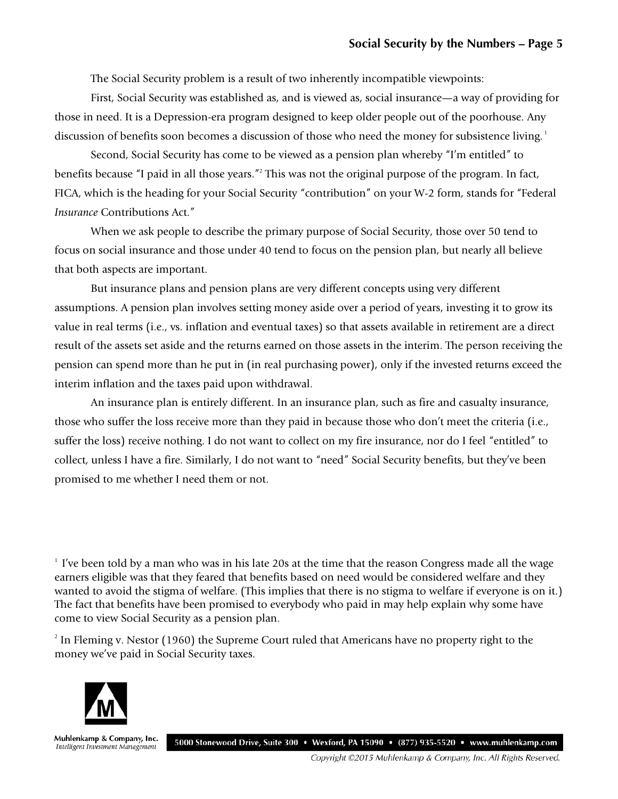The Social Security problem is a result of two inherently incompatible viewpoints:

First, Social Security was established as, and is viewed as, social insurance—a way of providing for those in need. It is a Depression-era program designed to keep older people out of the poorhouse. Any discussion of benefits soon becomes a discussion of those who need the money for subsistence living.<sup>1</sup>

Second, Social Security has come to be viewed as a pension plan whereby "I'm entitled" to benefits because "I paid in all those years."2 This was not the original purpose of the program. In fact, FICA, which is the heading for your Social Security "contribution" on your W-2 form, stands for "Federal *Insurance* Contributions Act."

When we ask people to describe the primary purpose of Social Security, those over 50 tend to focus on social insurance and those under 40 tend to focus on the pension plan, but nearly all believe that both aspects are important.

But insurance plans and pension plans are very different concepts using very different assumptions. A pension plan involves setting money aside over a period of years, investing it to grow its value in real terms (i.e., vs. inflation and eventual taxes) so that assets available in retirement are a direct result of the assets set aside and the returns earned on those assets in the interim. The person receiving the pension can spend more than he put in (in real purchasing power), only if the invested returns exceed the interim inflation and the taxes paid upon withdrawal.

An insurance plan is entirely different. In an insurance plan, such as fire and casualty insurance, those who suffer the loss receive more than they paid in because those who don't meet the criteria (i.e., suffer the loss) receive nothing. I do not want to collect on my fire insurance, nor do I feel "entitled" to collect, unless I have a fire. Similarly, I do not want to "need" Social Security benefits, but they've been promised to me whether I need them or not.

<sup>1</sup> I've been told by a man who was in his late 20s at the time that the reason Congress made all the wage earners eligible was that they feared that benefits based on need would be considered welfare and they wanted to avoid the stigma of welfare. (This implies that there is no stigma to welfare if everyone is on it.) The fact that benefits have been promised to everybody who paid in may help explain why some have come to view Social Security as a pension plan.

2 In Fleming v. Nestor (1960) the Supreme Court ruled that Americans have no property right to the money we've paid in Social Security taxes.



Muhlenkamp & Company, Inc. Intelligent Investment Management

5000 Stonewood Drive, Suite 300 · Wexford, PA 15090 · (877) 935-5520 · www.muhlenkamp.com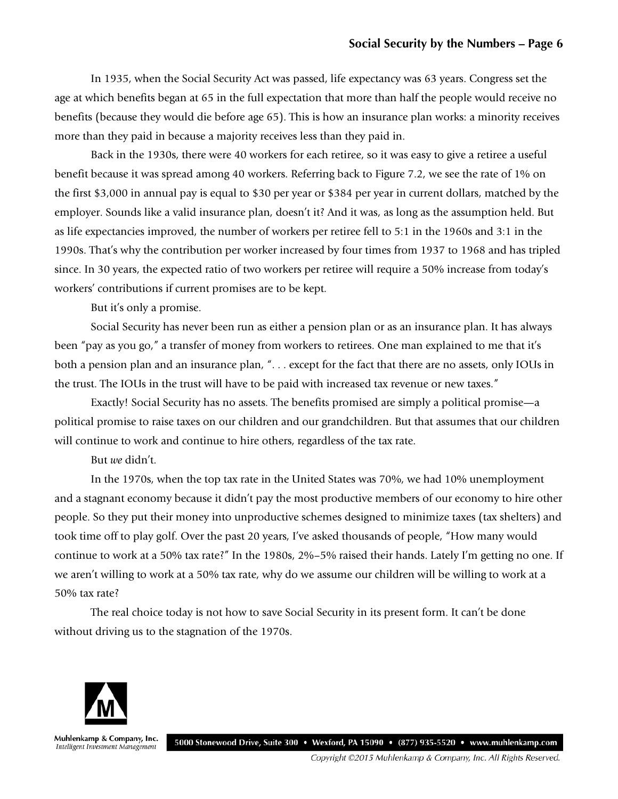In 1935, when the Social Security Act was passed, life expectancy was 63 years. Congress set the age at which benefits began at 65 in the full expectation that more than half the people would receive no benefits (because they would die before age 65). This is how an insurance plan works: a minority receives more than they paid in because a majority receives less than they paid in.

Back in the 1930s, there were 40 workers for each retiree, so it was easy to give a retiree a useful benefit because it was spread among 40 workers. Referring back to Figure 7.2, we see the rate of 1% on the first \$3,000 in annual pay is equal to \$30 per year or \$384 per year in current dollars, matched by the employer. Sounds like a valid insurance plan, doesn't it? And it was, as long as the assumption held. But as life expectancies improved, the number of workers per retiree fell to 5:1 in the 1960s and 3:1 in the 1990s. That's why the contribution per worker increased by four times from 1937 to 1968 and has tripled since. In 30 years, the expected ratio of two workers per retiree will require a 50% increase from today's workers' contributions if current promises are to be kept.

But it's only a promise.

Social Security has never been run as either a pension plan or as an insurance plan. It has always been "pay as you go," a transfer of money from workers to retirees. One man explained to me that it's both a pension plan and an insurance plan, ". . . except for the fact that there are no assets, only IOUs in the trust. The IOUs in the trust will have to be paid with increased tax revenue or new taxes."

Exactly! Social Security has no assets. The benefits promised are simply a political promise—a political promise to raise taxes on our children and our grandchildren. But that assumes that our children will continue to work and continue to hire others, regardless of the tax rate.

But *we* didn't.

In the 1970s, when the top tax rate in the United States was 70%, we had 10% unemployment and a stagnant economy because it didn't pay the most productive members of our economy to hire other people. So they put their money into unproductive schemes designed to minimize taxes (tax shelters) and took time off to play golf. Over the past 20 years, I've asked thousands of people, "How many would continue to work at a 50% tax rate?" In the 1980s, 2%–5% raised their hands. Lately I'm getting no one. If we aren't willing to work at a 50% tax rate, why do we assume our children will be willing to work at a 50% tax rate?

The real choice today is not how to save Social Security in its present form. It can't be done without driving us to the stagnation of the 1970s.



Muhlenkamp & Company, Inc. 5000 Stonewood Drive, Suite 300 • Wexford, PA 15090 • (877) 935-5520 • www.muhlenkamp.com Intelligent Investment Management